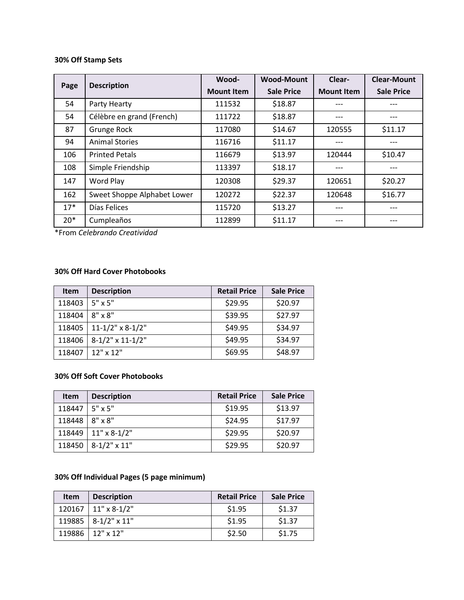#### **30% Off Stamp Sets**

| Page  |                             | Wood-             | <b>Wood-Mount</b> | Clear-            | <b>Clear-Mount</b> |
|-------|-----------------------------|-------------------|-------------------|-------------------|--------------------|
|       | <b>Description</b>          | <b>Mount Item</b> | <b>Sale Price</b> | <b>Mount Item</b> | <b>Sale Price</b>  |
| 54    | Party Hearty                | 111532            | \$18.87           |                   |                    |
| 54    | Célèbre en grand (French)   | 111722            | \$18.87           |                   |                    |
| 87    | Grunge Rock                 | 117080            | \$14.67           | 120555            | \$11.17            |
| 94    | <b>Animal Stories</b>       | 116716            | \$11.17           |                   |                    |
| 106   | <b>Printed Petals</b>       | 116679            | \$13.97           | 120444            | \$10.47            |
| 108   | Simple Friendship           | 113397            | \$18.17           |                   |                    |
| 147   | Word Play                   | 120308            | \$29.37           | 120651            | \$20.27            |
| 162   | Sweet Shoppe Alphabet Lower | 120272            | \$22.37           | 120648            | \$16.77            |
| $17*$ | Días Felices                | 115720            | \$13.27           |                   |                    |
| $20*$ | Cumpleaños                  | 112899            | \$11.17           |                   |                    |

\*From *Celebrando Creatividad*

#### **30% Off Hard Cover Photobooks**

| <b>Item</b> | <b>Description</b>    | <b>Retail Price</b> | <b>Sale Price</b> |
|-------------|-----------------------|---------------------|-------------------|
| 118403      | $5" \times 5"$        | \$29.95             | \$20.97           |
| 118404      | $8" \times 8"$        | \$39.95             | \$27.97           |
| 118405      | $11 - 1/2$ " x 8-1/2" | \$49.95             | \$34.97           |
| 118406      | $8-1/2$ " x 11-1/2"   | \$49.95             | \$34.97           |
| 118407      | 12" x 12"             | \$69.95             | \$48.97           |

### **30% Off Soft Cover Photobooks**

| <b>Item</b> | <b>Description</b>  | <b>Retail Price</b> | <b>Sale Price</b> |
|-------------|---------------------|---------------------|-------------------|
| 118447      | $5" \times 5"$      | \$19.95             | \$13.97           |
| 118448      | $8" \times 8"$      | \$24.95             | \$17.97           |
| 118449      | $11" \times 8-1/2"$ | \$29.95             | \$20.97           |
| 118450      | $8-1/2$ " x 11"     | \$29.95             | \$20.97           |

## **30% Off Individual Pages (5 page minimum)**

| <b>Item</b> | <b>Description</b>    | <b>Retail Price</b> | <b>Sale Price</b> |
|-------------|-----------------------|---------------------|-------------------|
| 120167      | $11" \times 8-1/2"$   | \$1.95              | \$1.37            |
|             | 119885   8-1/2" x 11" | \$1.95              | \$1.37            |
| 119886      | $12"$ x 12"           | \$2.50              | \$1.75            |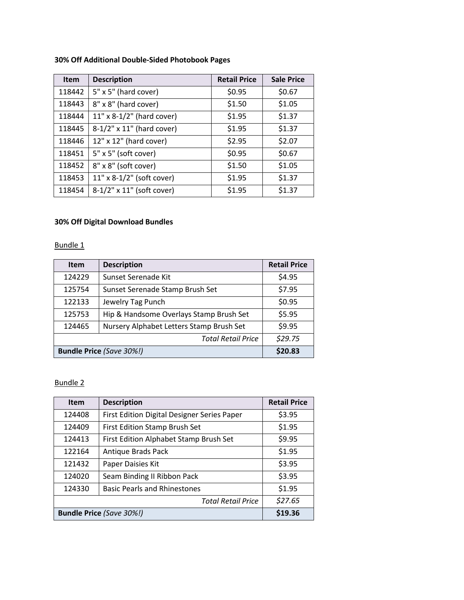# **30% Off Additional Double-Sided Photobook Pages**

| <b>Item</b> | <b>Description</b>        | <b>Retail Price</b> | <b>Sale Price</b> |
|-------------|---------------------------|---------------------|-------------------|
| 118442      | 5" x 5" (hard cover)      | \$0.95              | \$0.67            |
| 118443      | 8" x 8" (hard cover)      | \$1.50              | \$1.05            |
| 118444      | 11" x 8-1/2" (hard cover) | \$1.95              | \$1.37            |
| 118445      | 8-1/2" x 11" (hard cover) | \$1.95              | \$1.37            |
| 118446      | 12" x 12" (hard cover)    | \$2.95              | \$2.07            |
| 118451      | 5" x 5" (soft cover)      | \$0.95              | \$0.67            |
| 118452      | 8" x 8" (soft cover)      | \$1.50              | \$1.05            |
| 118453      | 11" x 8-1/2" (soft cover) | \$1.95              | \$1.37            |
| 118454      | 8-1/2" x 11" (soft cover) | \$1.95              | \$1.37            |

## **30% Off Digital Download Bundles**

## Bundle 1

| <b>Item</b>                     | <b>Description</b>                       | <b>Retail Price</b> |
|---------------------------------|------------------------------------------|---------------------|
| 124229                          | Sunset Serenade Kit                      | \$4.95              |
| 125754                          | Sunset Serenade Stamp Brush Set          | \$7.95              |
| 122133                          | Jewelry Tag Punch                        | \$0.95              |
| 125753                          | Hip & Handsome Overlays Stamp Brush Set  | \$5.95              |
| 124465                          | Nursery Alphabet Letters Stamp Brush Set | \$9.95              |
|                                 | <b>Total Retail Price</b>                | \$29.75             |
| <b>Bundle Price (Save 30%!)</b> |                                          | \$20.83             |

## Bundle 2

| <b>Item</b>                           | <b>Description</b>                          | <b>Retail Price</b> |
|---------------------------------------|---------------------------------------------|---------------------|
| 124408                                | First Edition Digital Designer Series Paper | \$3.95              |
| 124409                                | First Edition Stamp Brush Set               | \$1.95              |
| 124413                                | First Edition Alphabet Stamp Brush Set      | \$9.95              |
| 122164                                | Antique Brads Pack                          | \$1.95              |
| 121432                                | Paper Daisies Kit                           | \$3.95              |
| Seam Binding II Ribbon Pack<br>124020 |                                             | \$3.95              |
| 124330                                | <b>Basic Pearls and Rhinestones</b>         | \$1.95              |
| <b>Total Retail Price</b>             |                                             | \$27.65             |
| <b>Bundle Price (Save 30%!)</b>       |                                             | \$19.36             |